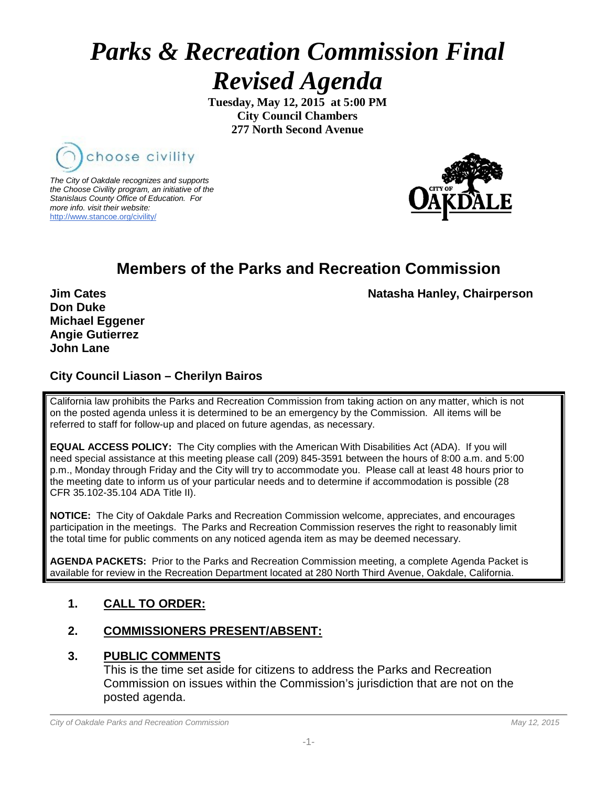# *Parks & Recreation Commission Final Revised Agenda*

**Tuesday, May 12, 2015 at 5:00 PM City Council Chambers 277 North Second Avenue**



*The City of Oakdale recognizes and supports the Choose Civility program, an initiative of the Stanislaus County Office of Education. For more info. visit their website:* [http://www.stancoe.org/civility/](http://links.schoolloop.com/link/rd?href=736c5f6c696e6b6666303163633065623266687474703a2f2f7777772e7374616e636f652e6f72672f636976696c6974792f)



### **Members of the Parks and Recreation Commission**

**Jim Cates** Natasha Hanley, Chairperson

**Don Duke Michael Eggener Angie Gutierrez John Lane**

#### **City Council Liason – Cherilyn Bairos**

California law prohibits the Parks and Recreation Commission from taking action on any matter, which is not on the posted agenda unless it is determined to be an emergency by the Commission. All items will be referred to staff for follow-up and placed on future agendas, as necessary.

**EQUAL ACCESS POLICY:** The City complies with the American With Disabilities Act (ADA). If you will need special assistance at this meeting please call (209) 845-3591 between the hours of 8:00 a.m. and 5:00 p.m., Monday through Friday and the City will try to accommodate you. Please call at least 48 hours prior to the meeting date to inform us of your particular needs and to determine if accommodation is possible (28 CFR 35.102-35.104 ADA Title II).

**NOTICE:** The City of Oakdale Parks and Recreation Commission welcome, appreciates, and encourages participation in the meetings. The Parks and Recreation Commission reserves the right to reasonably limit the total time for public comments on any noticed agenda item as may be deemed necessary.

**AGENDA PACKETS:** Prior to the Parks and Recreation Commission meeting, a complete Agenda Packet is available for review in the Recreation Department located at 280 North Third Avenue, Oakdale, California.

#### **1. CALL TO ORDER:**

#### **2. COMMISSIONERS PRESENT/ABSENT:**

#### **3. PUBLIC COMMENTS**

This is the time set aside for citizens to address the Parks and Recreation Commission on issues within the Commission's jurisdiction that are not on the posted agenda.